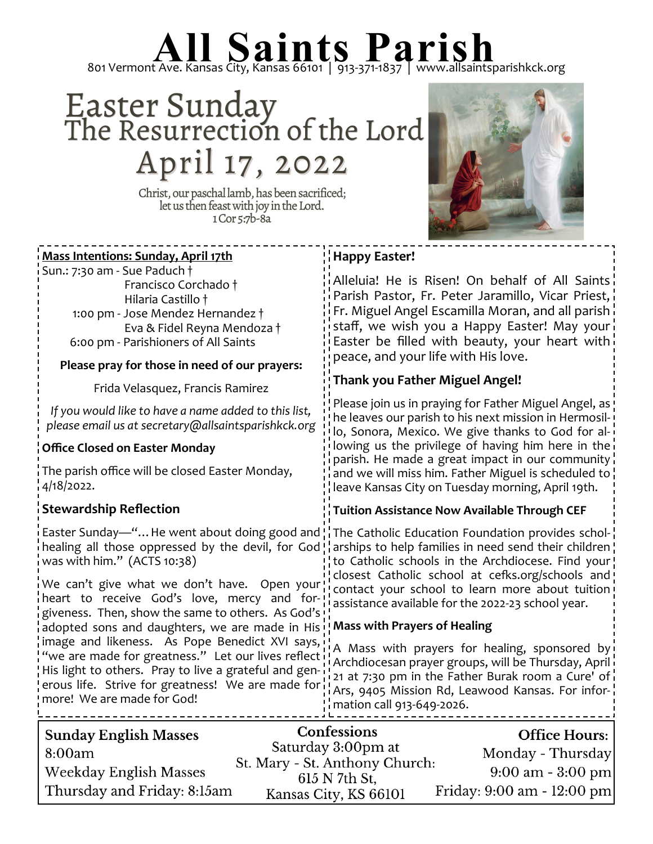## 801 Vermont Ave. Kansas City, Kansas 66101 | 913-371-1837 | www.allsaintsparishkck.org

## Easter Sunday<br>The Resurrection of the Lord April 17, 2022

Christ, our paschal lamb, has been sacrificed;<br>let us then feast with joy in the Lord. 1 Cor 5:7b-8a

<u> - - - - - - - - - - - - - -</u>

-----------



| <b>Mass Intentions: Sunday, April 17th</b>                                                                                                                                                                                                                                                                                                                                                                                                                                                                                                                                                                                                                                                                         | <b>Happy Easter!</b>                                                                                                                                                                                                                                                                                                                                                                                                                                                                                            |  |
|--------------------------------------------------------------------------------------------------------------------------------------------------------------------------------------------------------------------------------------------------------------------------------------------------------------------------------------------------------------------------------------------------------------------------------------------------------------------------------------------------------------------------------------------------------------------------------------------------------------------------------------------------------------------------------------------------------------------|-----------------------------------------------------------------------------------------------------------------------------------------------------------------------------------------------------------------------------------------------------------------------------------------------------------------------------------------------------------------------------------------------------------------------------------------------------------------------------------------------------------------|--|
| Sun.: 7:30 am - Sue Paduch +<br>Francisco Corchado †<br>Hilaria Castillo †<br>1:00 pm - Jose Mendez Hernandez †<br>Eva & Fidel Reyna Mendoza †<br>6:00 pm - Parishioners of All Saints                                                                                                                                                                                                                                                                                                                                                                                                                                                                                                                             | Alleluia! He is Risen! On behalf of All Saints<br>Parish Pastor, Fr. Peter Jaramillo, Vicar Priest,<br>Fr. Miguel Angel Escamilla Moran, and all parish<br>staff, we wish you a Happy Easter! May your<br>Easter be filled with beauty, your heart with<br>peace, and your life with His love.                                                                                                                                                                                                                  |  |
| Please pray for those in need of our prayers:                                                                                                                                                                                                                                                                                                                                                                                                                                                                                                                                                                                                                                                                      | <b>Thank you Father Miguel Angel!</b>                                                                                                                                                                                                                                                                                                                                                                                                                                                                           |  |
| Frida Velasquez, Francis Ramirez                                                                                                                                                                                                                                                                                                                                                                                                                                                                                                                                                                                                                                                                                   |                                                                                                                                                                                                                                                                                                                                                                                                                                                                                                                 |  |
| If you would like to have a name added to this list,<br>please email us at secretary@allsaintsparishkck.org                                                                                                                                                                                                                                                                                                                                                                                                                                                                                                                                                                                                        | Please join us in praying for Father Miguel Angel, as!<br>he leaves our parish to his next mission in Hermosil-<br>lo, Sonora, Mexico. We give thanks to God for al-                                                                                                                                                                                                                                                                                                                                            |  |
| <b>Office Closed on Easter Monday</b>                                                                                                                                                                                                                                                                                                                                                                                                                                                                                                                                                                                                                                                                              | lowing us the privilege of having him here in the                                                                                                                                                                                                                                                                                                                                                                                                                                                               |  |
| The parish office will be closed Easter Monday,<br>4/18/2022.                                                                                                                                                                                                                                                                                                                                                                                                                                                                                                                                                                                                                                                      | parish. He made a great impact in our community<br>and we will miss him. Father Miguel is scheduled to<br>leave Kansas City on Tuesday morning, April 19th.                                                                                                                                                                                                                                                                                                                                                     |  |
| $\frac{1}{2}$ Stewardship Reflection                                                                                                                                                                                                                                                                                                                                                                                                                                                                                                                                                                                                                                                                               | <b>Tuition Assistance Now Available Through CEF</b>                                                                                                                                                                                                                                                                                                                                                                                                                                                             |  |
| Easter Sunday—" He went about doing good and $\frac{1}{1}$ . The Catholic Education Foundation provides schol-<br>healing all those oppressed by the devil, for God! arships to help families in need send their children<br>was with him." (ACTS 10:38)<br>We can't give what we don't have. Open your<br>heart to receive God's love, mercy and for-!<br>giveness. Then, show the same to others. As God's!<br>adopted sons and daughters, we are made in His<br>image and likeness. As Pope Benedict XVI says,<br>we are made for greatness." Let our lives reflect<br>His light to others. Pray to live a grateful and gen-<br>erous life. Strive for greatness! We are made for<br>more! We are made for God! | to Catholic schools in the Archdiocese. Find your!<br>closest Catholic school at cefks.org/schools and!<br>contact your school to learn more about tuition<br>assistance available for the 2022-23 school year.<br>! Mass with Prayers of Healing<br>A Mass with prayers for healing, sponsored by<br>: Archdiocesan prayer groups, will be Thursday, April<br>21 at 7:30 pm in the Father Burak room a Cure' of<br>Ars, 9405 Mission Rd, Leawood Kansas. For infor-<br>$\frac{1}{2}$ mation call 913-649-2026. |  |
| <b>Sunday English Masses</b><br>8:00am                                                                                                                                                                                                                                                                                                                                                                                                                                                                                                                                                                                                                                                                             | Confessions<br><b>Office Hours:</b><br>Saturday 3:00pm at<br>Monday - Thursday<br>$C_{\perp}$ More $C_{\perp}$ Arthores Chronal                                                                                                                                                                                                                                                                                                                                                                                 |  |

| 50                            |                                                 | $\sigma$ ---- $\sigma$ -------      |  |
|-------------------------------|-------------------------------------------------|-------------------------------------|--|
| 8:00am                        | Saturday 3:00pm at                              | Monday - Thursday                   |  |
| <b>Weekday English Masses</b> | St. Mary - St. Anthony Church:<br>615 N 7th St. | $9:00 \text{ am} - 3:00 \text{ pm}$ |  |
| Thursday and Friday: 8:15am   | Kansas City, KS 66101                           | Friday: 9:00 am - 12:00 pm          |  |